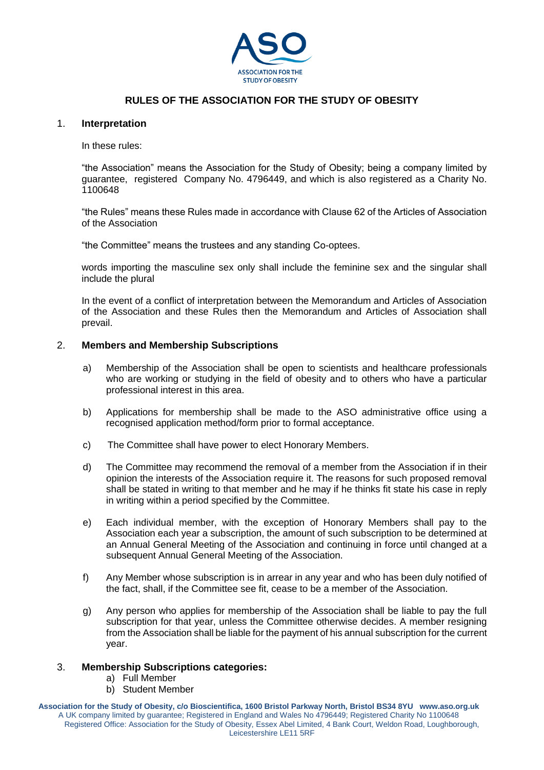

# **RULES OF THE ASSOCIATION FOR THE STUDY OF OBESITY**

## 1. **Interpretation**

In these rules:

"the Association" means the Association for the Study of Obesity; being a company limited by guarantee, registered Company No. 4796449, and which is also registered as a Charity No. 1100648

"the Rules" means these Rules made in accordance with Clause 62 of the Articles of Association of the Association

"the Committee" means the trustees and any standing Co-optees.

words importing the masculine sex only shall include the feminine sex and the singular shall include the plural

In the event of a conflict of interpretation between the Memorandum and Articles of Association of the Association and these Rules then the Memorandum and Articles of Association shall prevail.

## 2. **Members and Membership Subscriptions**

- a) Membership of the Association shall be open to scientists and healthcare professionals who are working or studying in the field of obesity and to others who have a particular professional interest in this area.
- b) Applications for membership shall be made to the ASO administrative office using a recognised application method/form prior to formal acceptance.
- c) The Committee shall have power to elect Honorary Members.
- d) The Committee may recommend the removal of a member from the Association if in their opinion the interests of the Association require it. The reasons for such proposed removal shall be stated in writing to that member and he may if he thinks fit state his case in reply in writing within a period specified by the Committee.
- e) Each individual member, with the exception of Honorary Members shall pay to the Association each year a subscription, the amount of such subscription to be determined at an Annual General Meeting of the Association and continuing in force until changed at a subsequent Annual General Meeting of the Association.
- f) Any Member whose subscription is in arrear in any year and who has been duly notified of the fact, shall, if the Committee see fit, cease to be a member of the Association.
- g) Any person who applies for membership of the Association shall be liable to pay the full subscription for that year, unless the Committee otherwise decides. A member resigning from the Association shall be liable for the payment of his annual subscription for the current year.

## 3. **Membership Subscriptions categories:**

- a) Full Member
- b) Student Member

**Association for the Study of Obesity, c/o Bioscientifica, 1600 Bristol Parkway North, Bristol BS34 8YU www.aso.org.uk** A UK company limited by guarantee; Registered in England and Wales No 4796449; Registered Charity No 1100648 Registered Office: Association for the Study of Obesity, Essex Abel Limited, 4 Bank Court, Weldon Road, Loughborough, Leicestershire LE11 5RF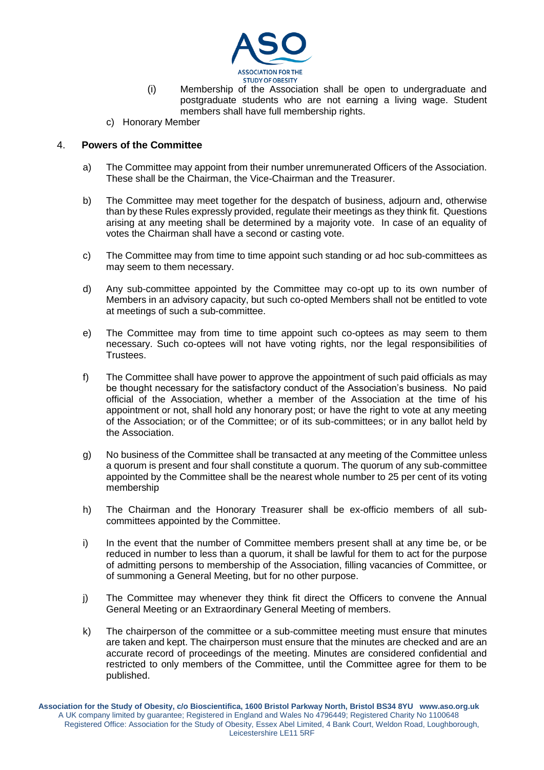

- (i) Membership of the Association shall be open to undergraduate and postgraduate students who are not earning a living wage. Student members shall have full membership rights.
- c) Honorary Member

## 4. **Powers of the Committee**

- a) The Committee may appoint from their number unremunerated Officers of the Association. These shall be the Chairman, the Vice-Chairman and the Treasurer.
- b) The Committee may meet together for the despatch of business, adjourn and, otherwise than by these Rules expressly provided, regulate their meetings as they think fit. Questions arising at any meeting shall be determined by a majority vote. In case of an equality of votes the Chairman shall have a second or casting vote.
- c) The Committee may from time to time appoint such standing or ad hoc sub-committees as may seem to them necessary.
- d) Any sub-committee appointed by the Committee may co-opt up to its own number of Members in an advisory capacity, but such co-opted Members shall not be entitled to vote at meetings of such a sub-committee.
- e) The Committee may from time to time appoint such co-optees as may seem to them necessary. Such co-optees will not have voting rights, nor the legal responsibilities of Trustees.
- f) The Committee shall have power to approve the appointment of such paid officials as may be thought necessary for the satisfactory conduct of the Association's business. No paid official of the Association, whether a member of the Association at the time of his appointment or not, shall hold any honorary post; or have the right to vote at any meeting of the Association; or of the Committee; or of its sub-committees; or in any ballot held by the Association.
- g) No business of the Committee shall be transacted at any meeting of the Committee unless a quorum is present and four shall constitute a quorum. The quorum of any sub-committee appointed by the Committee shall be the nearest whole number to 25 per cent of its voting membership
- h) The Chairman and the Honorary Treasurer shall be ex-officio members of all subcommittees appointed by the Committee.
- i) In the event that the number of Committee members present shall at any time be, or be reduced in number to less than a quorum, it shall be lawful for them to act for the purpose of admitting persons to membership of the Association, filling vacancies of Committee, or of summoning a General Meeting, but for no other purpose.
- j) The Committee may whenever they think fit direct the Officers to convene the Annual General Meeting or an Extraordinary General Meeting of members.
- k) The chairperson of the committee or a sub-committee meeting must ensure that minutes are taken and kept. The chairperson must ensure that the minutes are checked and are an accurate record of proceedings of the meeting. Minutes are considered confidential and restricted to only members of the Committee, until the Committee agree for them to be published.

**Association for the Study of Obesity, c/o Bioscientifica, 1600 Bristol Parkway North, Bristol BS34 8YU www.aso.org.uk** A UK company limited by guarantee; Registered in England and Wales No 4796449; Registered Charity No 1100648 Registered Office: Association for the Study of Obesity, Essex Abel Limited, 4 Bank Court, Weldon Road, Loughborough, Leicestershire LE11 5RF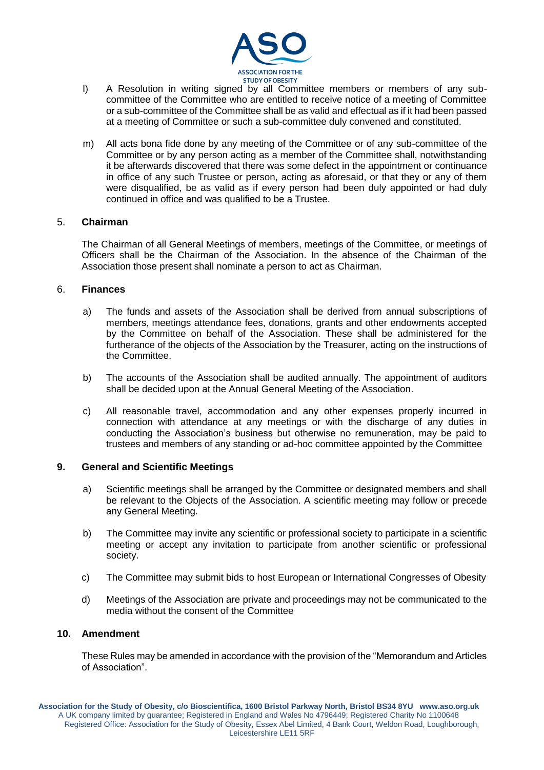

- l) A Resolution in writing signed by all Committee members or members of any subcommittee of the Committee who are entitled to receive notice of a meeting of Committee or a sub-committee of the Committee shall be as valid and effectual as if it had been passed at a meeting of Committee or such a sub-committee duly convened and constituted.
- m) All acts bona fide done by any meeting of the Committee or of any sub-committee of the Committee or by any person acting as a member of the Committee shall, notwithstanding it be afterwards discovered that there was some defect in the appointment or continuance in office of any such Trustee or person, acting as aforesaid, or that they or any of them were disqualified, be as valid as if every person had been duly appointed or had duly continued in office and was qualified to be a Trustee.

## 5. **Chairman**

The Chairman of all General Meetings of members, meetings of the Committee, or meetings of Officers shall be the Chairman of the Association. In the absence of the Chairman of the Association those present shall nominate a person to act as Chairman.

#### 6. **Finances**

- a) The funds and assets of the Association shall be derived from annual subscriptions of members, meetings attendance fees, donations, grants and other endowments accepted by the Committee on behalf of the Association. These shall be administered for the furtherance of the objects of the Association by the Treasurer, acting on the instructions of the Committee.
- b) The accounts of the Association shall be audited annually. The appointment of auditors shall be decided upon at the Annual General Meeting of the Association.
- c) All reasonable travel, accommodation and any other expenses properly incurred in connection with attendance at any meetings or with the discharge of any duties in conducting the Association's business but otherwise no remuneration, may be paid to trustees and members of any standing or ad-hoc committee appointed by the Committee

## **9. General and Scientific Meetings**

- a) Scientific meetings shall be arranged by the Committee or designated members and shall be relevant to the Objects of the Association. A scientific meeting may follow or precede any General Meeting.
- b) The Committee may invite any scientific or professional society to participate in a scientific meeting or accept any invitation to participate from another scientific or professional society.
- c) The Committee may submit bids to host European or International Congresses of Obesity
- d) Meetings of the Association are private and proceedings may not be communicated to the media without the consent of the Committee

## **10. Amendment**

These Rules may be amended in accordance with the provision of the "Memorandum and Articles of Association".